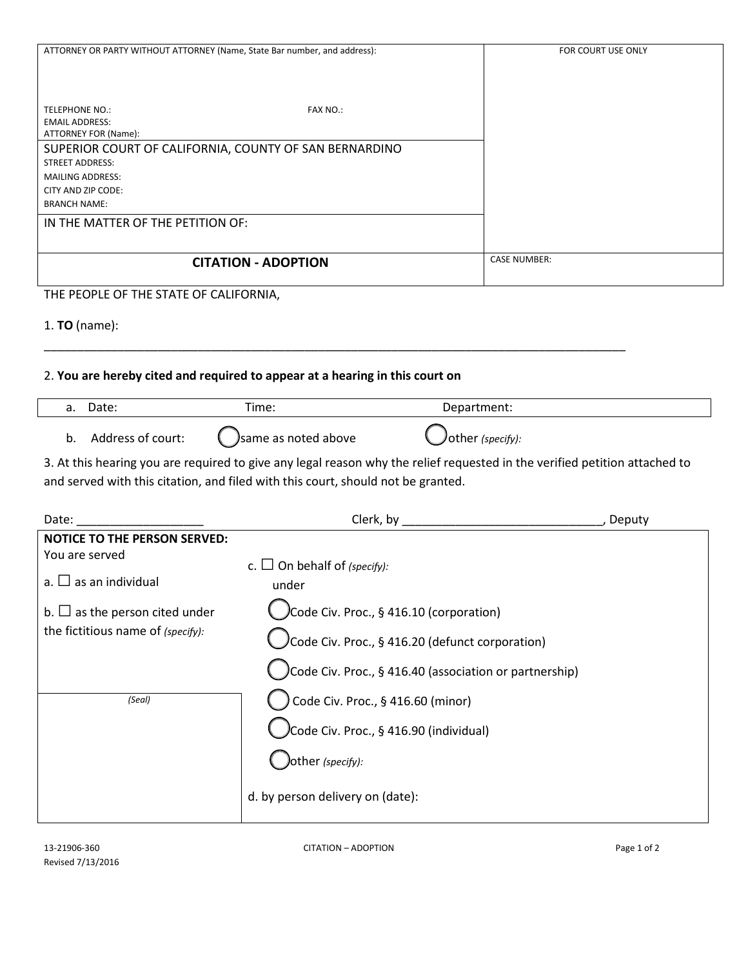| ATTORNEY OR PARTY WITHOUT ATTORNEY (Name, State Bar number, and address): | FOR COURT USE ONLY  |
|---------------------------------------------------------------------------|---------------------|
|                                                                           |                     |
|                                                                           |                     |
|                                                                           |                     |
| <b>TELEPHONE NO.:</b><br><b>FAX NO.:</b>                                  |                     |
| <b>EMAIL ADDRESS:</b>                                                     |                     |
| ATTORNEY FOR (Name):                                                      |                     |
| SUPERIOR COURT OF CALIFORNIA, COUNTY OF SAN BERNARDINO                    |                     |
| <b>STREET ADDRESS:</b>                                                    |                     |
| <b>MAILING ADDRESS:</b>                                                   |                     |
| CITY AND ZIP CODE:                                                        |                     |
| <b>BRANCH NAME:</b>                                                       |                     |
| IN THE MATTER OF THE PETITION OF:                                         |                     |
|                                                                           |                     |
| <b>CITATION - ADOPTION</b>                                                | <b>CASE NUMBER:</b> |
|                                                                           |                     |

THE PEOPLE OF THE STATE OF CALIFORNIA,

1. **TO** (name):

## 2. **You are hereby cited and required to appear at a hearing in this court on**

| a. | Date:             | Time:                | Department:       |  |
|----|-------------------|----------------------|-------------------|--|
| b. | Address of court: | Jsame as noted above | Jother (specify): |  |

\_\_\_\_\_\_\_\_\_\_\_\_\_\_\_\_\_\_\_\_\_\_\_\_\_\_\_\_\_\_\_\_\_\_\_\_\_\_\_\_\_\_\_\_\_\_\_\_\_\_\_\_\_\_\_\_\_\_\_\_\_\_\_\_\_\_\_\_\_\_\_\_\_\_\_\_\_\_\_\_\_\_\_\_\_\_\_

3. At this hearing you are required to give any legal reason why the relief requested in the verified petition attached to and served with this citation, and filed with this court, should not be granted.

| Date:                               | Clerk, by                                              | Deputy |
|-------------------------------------|--------------------------------------------------------|--------|
| <b>NOTICE TO THE PERSON SERVED:</b> |                                                        |        |
| You are served                      | c. $\Box$ On behalf of (specify):                      |        |
| a. $\Box$ as an individual          | under                                                  |        |
| b. $\Box$ as the person cited under | $)$ Code Civ. Proc., § 416.10 (corporation)            |        |
| the fictitious name of (specify):   | $)$ Code Civ. Proc., § 416.20 (defunct corporation)    |        |
|                                     | Code Civ. Proc., § 416.40 (association or partnership) |        |
| (Seal)                              | Code Civ. Proc., § 416.60 (minor)                      |        |
|                                     | $)$ Code Civ. Proc., § 416.90 (individual)             |        |
|                                     | other (specify):                                       |        |
|                                     | d. by person delivery on (date):                       |        |